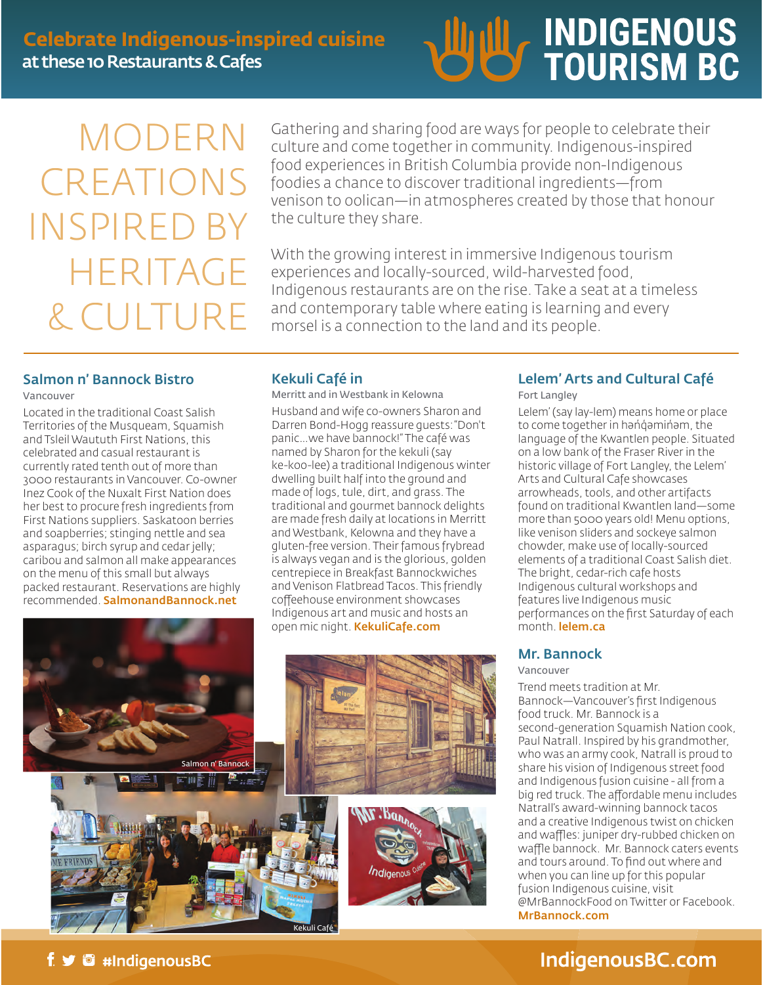

# MODERN CREATIONS INSPIRE HERITAGE & CULTURE

Gathering and sharing food are ways for people to celebrate their culture and come together in community. Indigenous-inspired food experiences in British Columbia provide non-Indigenous foodies a chance to discover traditional ingredients—from venison to oolican—in atmospheres created by those that honour the culture they share.

With the growing interest in immersive Indigenous tourism experiences and locally-sourced, wild-harvested food, Indigenous restaurants are on the rise. Take a seat at a timeless and contemporary table where eating is learning and every morsel is a connection to the land and its people.

### Salmon n' Bannock Bistro

Vancouver

Located in the traditional Coast Salish Territories of the Musqueam, Squamish and Tsleil Waututh First Nations, this celebrated and casual restaurant is currently rated tenth out of more than 3000 restaurants in Vancouver. Co-owner Inez Cook of the Nuxalt First Nation does her best to procure fresh ingredients from First Nations suppliers. Saskatoon berries and soapberries; stinging nettle and sea asparagus; birch syrup and cedar jelly; caribou and salmon all make appearances on the menu of this small but always packed restaurant. Reservations are highly recommended. SalmonandBannock.net

#### Kekuli Café in

Merritt and in Westbank in Kelowna

Husband and wife co-owners Sharon and Darren Bond-Hogg reassure guests: "Don't panic…we have bannock!" The café was named by Sharon for the kekuli (say ke-koo-lee) a traditional Indigenous winter dwelling built half into the ground and made of logs, tule, dirt, and grass. The traditional and gourmet bannock delights are made fresh daily at locations in Merritt and Westbank, Kelowna and they have a gluten-free version. Their famous frybread is always vegan and is the glorious, golden centrepiece in Breakfast Bannockwiches and Venison Flatbread Tacos. This friendly coffeehouse environment showcases Indigenous art and music and hosts an open mic night. KekuliCafe.com









#### Lelem' Arts and Cultural Café

Fort Langley

Lelem' (say lay-lem) means home or place to come together in hənqəminəm, the language of the Kwantlen people. Situated on a low bank of the Fraser River in the historic village of Fort Langley, the Lelem' Arts and Cultural Cafe showcases arrowheads, tools, and other artifacts found on traditional Kwantlen land—some more than 5000 years old! Menu options, like venison sliders and sockeye salmon chowder, make use of locally-sourced elements of a traditional Coast Salish diet. The bright, cedar-rich cafe hosts Indigenous cultural workshops and features live Indigenous music performances on the first Saturday of each month. lelem.ca

#### Mr. Bannock

Vancouver

Trend meets tradition at Mr. Bannock—Vancouver's first Indigenous food truck. Mr. Bannock is a second-generation Squamish Nation cook, Paul Natrall. Inspired by his grandmother, who was an army cook, Natrall is proud to share his vision of Indigenous street food and Indigenous fusion cuisine - all from a big red truck. The affordable menu includes Natrall's award-winning bannock tacos and a creative Indigenous twist on chicken and waffles: juniper dry-rubbed chicken on waffle bannock. Mr. Bannock caters events and tours around. To find out where and when you can line up for this popular fusion Indigenous cuisine, visit @MrBannockFood on Twitter or Facebook. MrBannock.com

## IndigenousBC.com